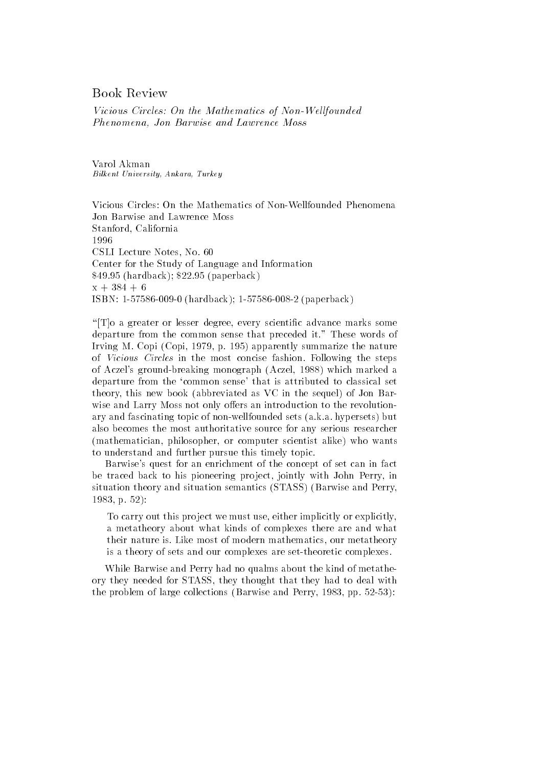# Book Review

Vicious Circles- On the Mathematics of NonWel lfounded Phenomena, Jon Barwise and Lawrence Moss

Varol Akman Bilkent University- Ankara- Turkey

Jon Barwise and Lawrence Moss Stanford, California 1996 CSLI Lecture Notes, No. 60 Center for the Study of Language and Information  $\mathbf{p}$  is a paperback of the contract of the contract of the contract of the contract of the contract of the contract of the contract of the contract of the contract of the contract of the contract of the contract of th  $x + 384 + 6$ . In the contract of the contract of the contract of the contract of the contract of the contract of the contract of the contract of the contract of the contract of the contract of the contract of the contract of the cont

" $T$ ] a greater or lesser degree, every scientific advance marks some departure from the common sense that preceded it." These words of Irving M. Copi  $(Copi, 1979, p. 195)$  apparently summarize the nature of Vicious Circles in the most concise fashion Following the steps of Aczel's ground-breaking monograph (Aczel, 1988) which marked a departure from the 'common sense' that is attributed to classical set theory, this new book (abbreviated as VC in the sequel) of Jon Barwise and Larry Moss not only offers an introduction to the revolutionary and fascinating topic of non-wellfounded sets (a.k.a. hypersets) but also becomes the most authoritative source for any serious researcher (mathematician, philosopher, or computer scientist alike) who wants to understand and further pursue this timely topic

Barwise's quest for an enrichment of the concept of set can in fact be traced back to his pioneering project, jointly with John Perry, in situation theory and situation semantics (STASS) (Barwise and Perry,  $1983, p. 52$ :

To carry out this project we must use, either implicitly or explicitly, a metatheory about what kinds of complexes there are and what their nature is. Like most of modern mathematics, our metatheory is a theory of sets and our complexes are set-theoretic complexes.

While Barwise and Perry had no qualms about the kind of metathe ory they needed for STASS they thought that they had to deal with the problem of large collections (Barwise and Perry,  $1983$ , pp.  $52-53$ ):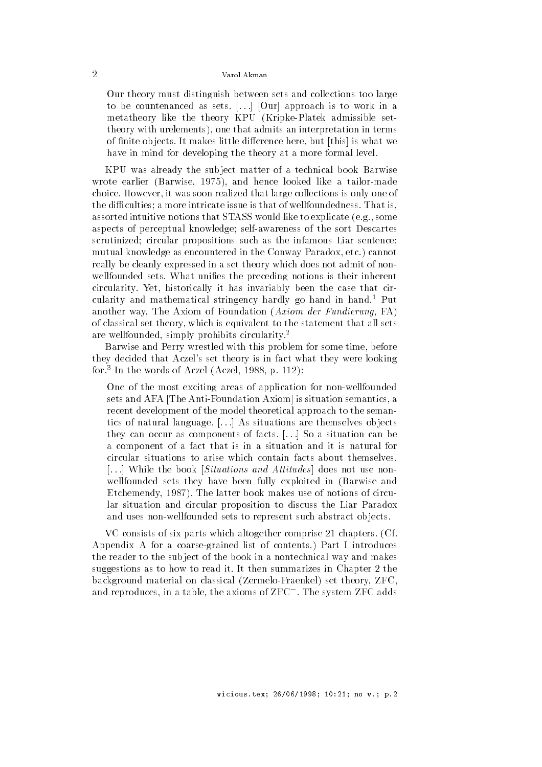Our theory must distinguish between sets and collections too large to be countenanced as sets.  $\left[ \ldots \right]$  [Our] approach is to work in a metatheory like the theory KPU (Kripke-Platek admissible settheory with urelements), one that admits an interpretation in terms of finite objects. It makes little difference here, but [this] is what we have in mind for developing the theory at a more formal level.

KPU was already the sub ject matter of a technical book Barwise wrote earlier (Barwise, 1975), and hence looked like a tailor-made choice However it was soon realized that large collections is only one of the difficulties; a more intricate issue is that of wellfoundedness. That is, assorted intuitive notions that STASS would like to explicate (e.g., some aspects of perceptual knowledge; self-awareness of the sort Descartes scrutinized; circular propositions such as the infamous Liar sentence; mutual knowledge as encountered in the Conway Paradox, etc.) cannot really be cleanly expressed in a set theory which does not admit of non wellfounded sets. What unifies the preceding notions is their inherent circularity. Yet, historically it has invariably been the case that circularity and mathematical stringency hardly go hand in hand- Put another way, The Axiom of Foundation  $(Axiom \, der \, Fundamental \, FAN)$ of classical set theory which is equivalent to the statement that all sets are wellfounded, simply prohibits circularity. $2$ 

Barwise and Perry wrestled with this problem for some time, before they decided that Aczel's set theory is in fact what they were looking for.<sup>3</sup> In the words of Aczel (Aczel, 1988, p. 112):

One of the most exciting areas of application for non-wellfounded sets and AFA The Anti-Foundation Axiom is situation semantics, a recent development of the model theoretical approach to the seman tics of natural language.  $[...]$  As situations are themselves objects they can occur as components of facts.  $[...]$  So a situation can be a component of a fact that is in a situation and it is natural for circular situations to arise which contain facts about themselves [...] While the book [Situations and Attitudes] does not use nonwellfounded sets they have been fully exploited in 
Barwise and Etchemendy, 1987). The latter book makes use of notions of circular situation and circular proposition to discuss the Liar Paradox and uses non-wellfounded sets to represent such abstract objects.

 $VC$  consists of six parts which altogether comprise 21 chapters. (Cf. Appendix A for a coarse-grained list of contents.) Part I introduces the reader to the sub ject of the book in a nontechnical way and makes suggestions as to how to read it. It then summarizes in Chapter 2 the background material on classical (Zermelo-Fraenkel) set theory, ZFC, and reproduces, in a table, the axioms of  $\rm ZFC$  . The system  $\rm ZFC$  adds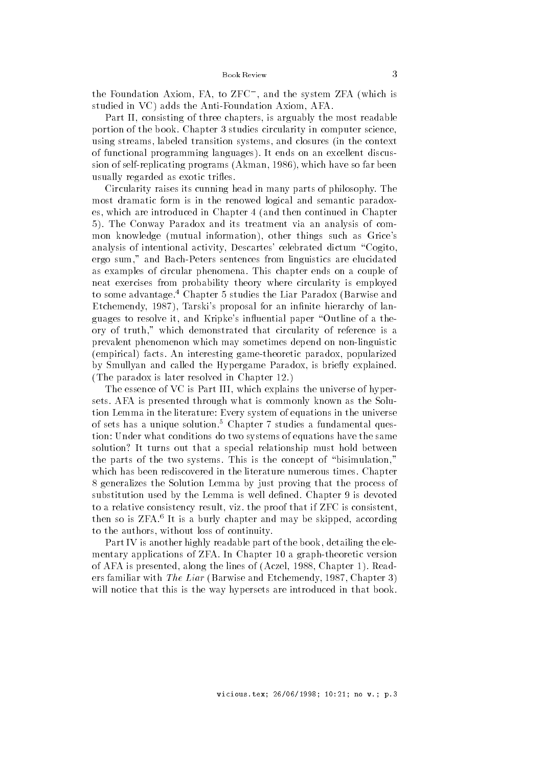the foundation Axiom, FA, to ZFC , and the system ZFA (which is studied in VC) adds the Anti-Foundation Axiom, AFA.

Part II, consisting of three chapters, is arguably the most readable portion of the book. Chapter 3 studies circularity in computer science. using streams, labeled transition systems, and closures (in the context of functional programming languages). It ends on an excellent discussion of self-replicating programs (Akman, 1986), which have so far been usually regarded as exotic trifles.

Circularity raises its cunning head in many parts of philosophy The most dramatic form is in the renowed logical and semantic paradox es, which are introduced in Chapter 4 (and then continued in Chapter 5). The Conway Paradox and its treatment via an analysis of common knowledge (mutual information), other things such as Grice's analysis of intentional activity, Descartes' celebrated dictum "Cogito, ergo sum," and Bach-Peters sentences from linguistics are elucidated as examples of circular phenomena This chapter ends on a couple of neat exercises from probability theory where circularity is employed to some advantage.<sup>4</sup> Chapter 5 studies the Liar Paradox (Barwise and Etchemendy, 1987), Tarski's proposal for an infinite hierarchy of languages to resolve it, and Kripke's influential paper "Outline of a theory of truth," which demonstrated that circularity of reference is a prevalent phenomenon which may sometimes depend on non-linguistic (empirical) facts. An interesting game-theoretic paradox, popularized by Smullyan and called the Hypergame Paradox, is briefly explained. (The paradox is later resolved in Chapter  $12$ .)

The essence of VC is Part III, which explains the universe of hypersets AFA is presented through what is commonly known as the Solu tion Lemma in the literature of the universe  $\mathcal{L}_{\mathcal{A}}$  , we are universely in the universe of the universe of sets has a unique solution.<sup>5</sup> Chapter 7 studies a fundamental question- what condition- who take the same of equations of the same that the same that is the same of the same of solution? It turns out that a special relationship must hold between the parts of the two systems. This is the concept of "bisimulation," which has been rediscovered in the literature numerous times Chapter generalizes the Solution Lemma by just proving that the process of substitution used by the Lemma is well defined. Chapter 9 is devoted to a relative consistency result, viz. the proof that if ZFC is consistent, then so is ZFA.<sup>6</sup> It is a burly chapter and may be skipped, according to the authors, without loss of continuity.

Part IV is another highly readable part of the book, detailing the elementary applications of ZFA. In Chapter 10 a graph-theoretic version of AFA is presented, along the lines of (Aczel, 1988, Chapter 1). Readers familiar with *The Liar* (Barwise and Etchemendy, 1987, Chapter 3) will notice that this is the way hypersets are introduced in that book.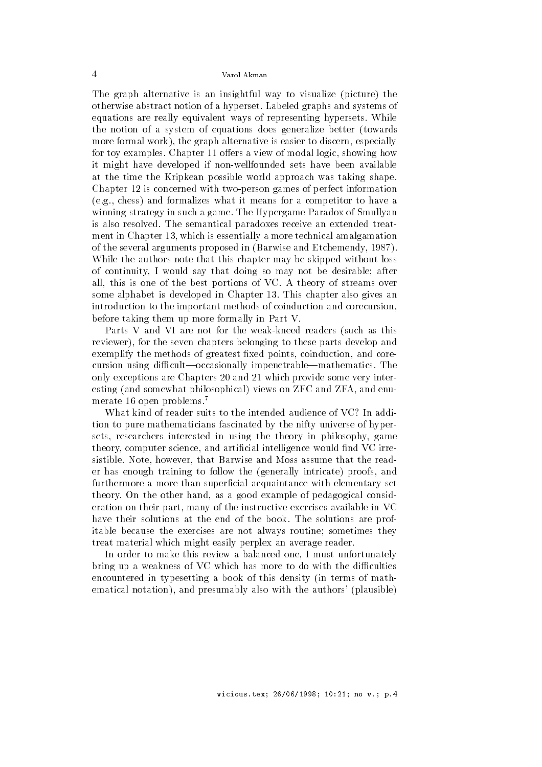The graph alternative is an insightful way to visualize (picture) the otherwise abstract notion of a hyperset Labeled graphs and systems of equations are really equivalent ways of representing hypersets While the notion of a system of equations does generalize better 
towards more formal work), the graph alternative is easier to discern, especially for toy examples. Chapter 11 offers a view of modal logic, showing how it might have developed if non-wellfounded sets have been available at the time the Kripkean possible world approach was taking shape Chapter 12 is concerned with two-person games of perfect information  $(e.g., chess)$  and formalizes what it means for a competitor to have a winning strategy in such a game The Hypergame Paradox of Smullyan is also resolved. The semantical paradoxes receive an extended treatment in Chapter 13, which is essentially a more technical amalgamation of the several arguments proposed in 
Barwise and Etchemendy While the authors note that this chapter may be skipped without loss of continuity, I would say that doing so may not be desirable; after all, this is one of the best portions of VC. A theory of streams over some alphabet is developed in Chapter 13. This chapter also gives an introduction to the important methods of coinduction and corecursion before taking them up more formally in Part V

Parts V and VI are not for the weak-kneed readers (such as this reviewer), for the seven chapters belonging to these parts develop and exemplify the methods of greatest fixed points, coinduction, and corecursion using difficult—occasionally impenetrable—mathematics. The only exceptions are Chapters 20 and 21 which provide some very interesting (and somewhat philosophical) views on ZFC and ZFA, and enumerate 16 open problems.<sup>7</sup>

What kind of reader suits to the intended audience of VC? In addition to pure mathematicians fascinated by the nifty universe of hyper sets, researchers interested in using the theory in philosophy, game theory, computer science, and artificial intelligence would find VC irresistible. Note, however, that Barwise and Moss assume that the reader has enough training to follow the (generally intricate) proofs, and furthermore a more than superficial acquaintance with elementary set theory. On the other hand, as a good example of pedagogical consideration on their part, many of the instructive exercises available in VC have their solutions at the end of the book. The solutions are profitable because the exercises are not always routine; sometimes they treat material which might easily perplex an average reader

In order to make this review a balanced one I must unfortunately bring up a weakness of VC which has more to do with the difficulties encountered in typesetting a book of this density (in terms of mathematical notation), and presumably also with the authors' (plausible)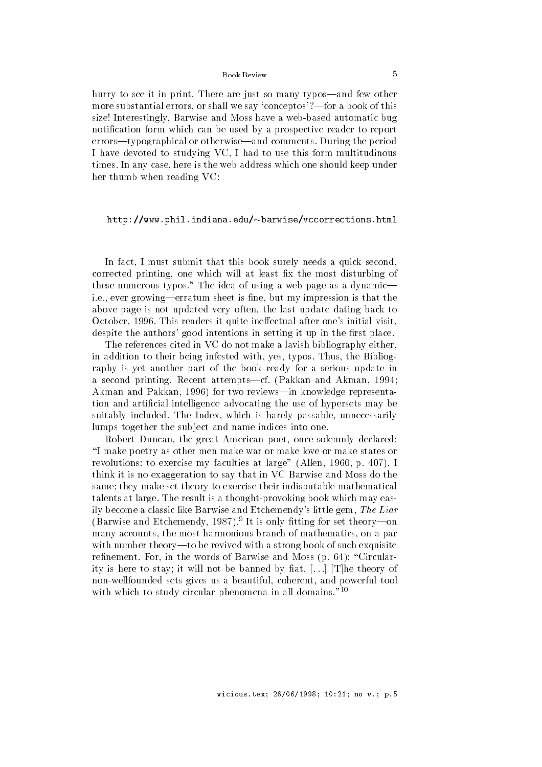## Book Review

hurry to see it in print. There are just so many typos—and few other more substantial errors, or shall we say 'conceptos'?—for a book of this size! Interestingly, Barwise and Moss have a web-based automatic bug notification form which can be used by a prospective reader to report errors—typographical or otherwise—and comments. During the period I have devoted to studying VC I had to use this form multitudinous times. In any case, here is the web address which one should keep under her thumb when reading VC-

### http-wwwphilindianaedubarwisevccorrectionshtml

In fact, I must submit that this book surely needs a quick second, corrected printing, one which will at least fix the most disturbing of these numerous typos.<sup>8</sup> The idea of using a web page as a dynamic i.e., ever growing—erratum sheet is fine, but my impression is that the above page is not updated very often, the last update dating back to October, 1996. This renders it quite ineffectual after one's initial visit, despite the authors' good intentions in setting it up in the first place.

The references cited in VC do not make a lavish bibliography either in addition to their being infested with, yes, typos. Thus, the Bibliography is yet another part of the book ready for a serious update in a second printing. Recent attempts—cf. (Pakkan and Akman, 1994; Akman and Pakkan, 1996) for two reviews-in knowledge representation and artificial intelligence advocating the use of hypersets may be suitably included. The Index, which is barely passable, unnecessarily lumps together the sub ject and name indices into one

Robert Duncan, the great American poet, once solemnly declared: I make poetry as other men make war or make love or make states or revolutions-in-my faculties at large  $\alpha$  in the secret at large  $\alpha$ think it is no exaggeration to say that in VC Barwise and Moss do the same; they make set theory to exercise their indisputable mathematical talents at large. The result is a thought-provoking book which may easily become a classic like Barwise and Etchemendy's little gem, The Liar (Barwise and Etchemendy, 1987).<sup>9</sup> It is only fitting for set theory—on many accounts, the most harmonious branch of mathematics, on a par with number theory-to be revived with a strong book of such exquisite renement For in the words of Barwise and Moss and Moss and Moss and Moss and Moss and Moss and Moss and Moss a ity is here to stay; it will not be banned by fiat.  $\left[\ldots\right]$  [T] he theory of non-wellfounded sets gives us a beautiful, coherent, and powerful tool with which to study circular phenomena in all domains."<sup>10</sup>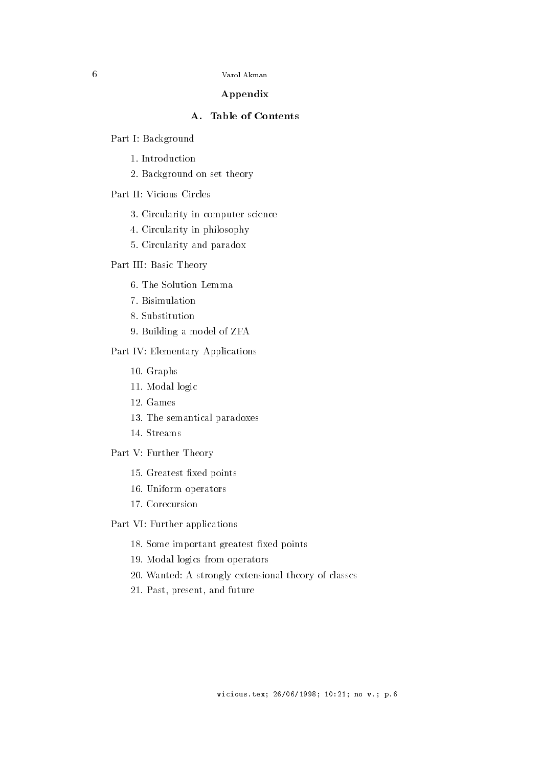# Appendix

Part I- Background

- 1. Introduction
- 2. Background on set theory

- 3. Circularity in computer science
- Circularity in philosophy
- 5. Circularity and paradox

### <u>s die basic Basic Theory</u>

- 
- Bisimulation
- 8. Substitution
- 9. Building a model of ZFA

### e ne reconstructions proprieties and

- 10. Graphs
- 11. Modal logic
- 12. Games
- 13. The semantical paradoxes
- 14. Streams
- Part V- Further Theory
	- 15. Greatest fixed points
	- 16. Uniform operators
	- 17. Corecursion
- Part VI- Further applications
	- 18. Some important greatest fixed points
	- 19. Modal logics from operators
	- was a strongly extensional theory of classes  $\mathcal{A}$
	- 21. Past, present, and future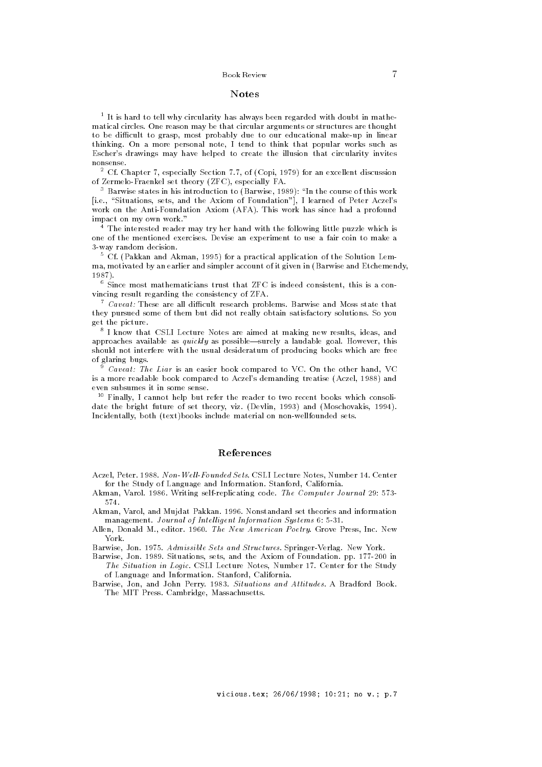## Notes

 It is hard to tell why circularity has always been regarded with doubt in mathematical circles One reason may be that circular arguments or structures are thought to be dicult to grasp most probably due to our educational make-up in linear thinking. On a more personal note, I tend to think that popular works such as Escher's drawings may have helped to create the illusion that circularity invites nonsense

 $\bar{\phantom{a}}$  Ci. Chapter (, especially Section (,(, of (Copi, 1979) for an excellent discussion er meere een theory and theory zerosy factory for the set of the set of the set of the set of the set of the s

 $\,$  -Barwise states in his introduction to (Barwise, 1989): "In the course of this work  $\,$ [i.e., "Situations, sets, and the Axiom of Foundation"], I learned of Peter Aczel's work on the Anti-Afa This manager (1999-19). Anti-Africa has since had a profound impact on my own work

The interested reader may try her hand with the following little puzzle which is one of the mentioned exercises Devise an experiment to use a fair coin to make a way random decision in the contract of the contract of the contract of the contract of the contract of the contract of the contract of the contract of the contract of the contract of the contract of the contract of the con

 $^\circ$  UI. (Pakkan and Akman, 1995) for a practical application of the Solution Lemma, motivated by an earlier and simpler account of it given in (Barwise and Etchemendy, 

. Since most mathematicians trust that  $\rm \Delta F C$  is indeed consistent, this is a convincing result regarding the consistency of ZFA

 $\sim$  Caveat: These are all difficult research problems. Barwise and Moss state that they pursued some of them but did not really obtain satisfactory solutions So you get the picture

 I know that CSLI Lecture Notes are aimed at making new results ideas and approaches available as  $quickly$  as possible—surely a laudable goal. However, this should not interfere with the usual desideratum of producing books which are free of glaring bugs

 $\degree$  Caveat: The Liar is an easier book compared to VC. On the other hand, VC  $\degree$ is a more reading to the compared to receive accuracy treating treaty treaty and  $\mathcal{L}_{\mathcal{A}}$ even subsumes it in some sense

 $\lceil$  finally, I cannot help but refer the reader to two recent books which consolidate the bright future of set theory, the future of set  $\mu$  and  $\mu$  and  $\mu$  and  $\mu$ Incidentally both textbooks include material on non-wellfounded sets

# References

Aczel Peter  NonWel lFounded Sets CSLI Lecture Notes Number Center for the Study of Language and Information. Stanford, California.

Akman Varol  Writing self-replicating code The Computer Journal -574

Akman Varol and Mujdat Pakkan Nonstandard set theories and information management is made a processing and Intel and Intel Systems in the Systems of Intel Systems in the System of S

 $\mathcal{A}$ len Donald M editor  $\mathcal{A}$ York

Barwise Jon Structures Sets and Structures Springer-Structures Springer-Structures Springer-Structure

and the situation of the Axiom of Foundation of the Axiom of Foundations pp and the Axiom of The Axiom of The The Situation in Logic. CSLI Lecture Notes. Number 17. Center for the Study of Language and Information. Stanford, California.

and when y component a situation and attitudes and attitudes and Attitudes A Bradford Book The MIT Press. Cambridge, Massachusetts.